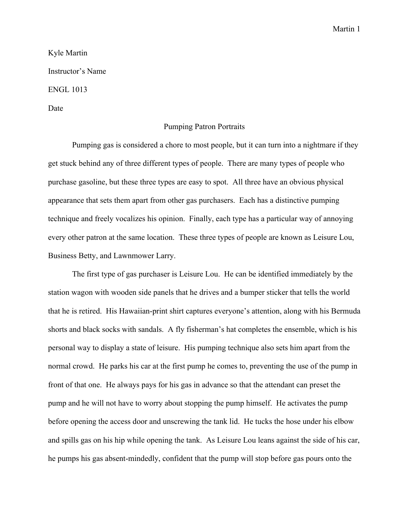Martin 1

Kyle Martin Instructor's Name ENGL 1013 Date

## Pumping Patron Portraits

Pumping gas is considered a chore to most people, but it can turn into a nightmare if they get stuck behind any of three different types of people. There are many types of people who purchase gasoline, but these three types are easy to spot. All three have an obvious physical appearance that sets them apart from other gas purchasers. Each has a distinctive pumping technique and freely vocalizes his opinion. Finally, each type has a particular way of annoying every other patron at the same location. These three types of people are known as Leisure Lou, Business Betty, and Lawnmower Larry.

The first type of gas purchaser is Leisure Lou. He can be identified immediately by the station wagon with wooden side panels that he drives and a bumper sticker that tells the world that he is retired. His Hawaiian-print shirt captures everyone's attention, along with his Bermuda shorts and black socks with sandals. A fly fisherman's hat completes the ensemble, which is his personal way to display a state of leisure. His pumping technique also sets him apart from the normal crowd. He parks his car at the first pump he comes to, preventing the use of the pump in front of that one. He always pays for his gas in advance so that the attendant can preset the pump and he will not have to worry about stopping the pump himself. He activates the pump before opening the access door and unscrewing the tank lid. He tucks the hose under his elbow and spills gas on his hip while opening the tank. As Leisure Lou leans against the side of his car, he pumps his gas absent-mindedly, confident that the pump will stop before gas pours onto the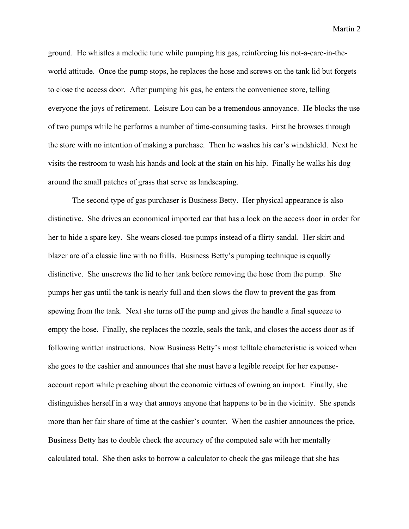Martin 2

ground. He whistles a melodic tune while pumping his gas, reinforcing his not-a-care-in-theworld attitude. Once the pump stops, he replaces the hose and screws on the tank lid but forgets to close the access door. After pumping his gas, he enters the convenience store, telling everyone the joys of retirement. Leisure Lou can be a tremendous annoyance. He blocks the use of two pumps while he performs a number of time-consuming tasks. First he browses through the store with no intention of making a purchase. Then he washes his car's windshield. Next he visits the restroom to wash his hands and look at the stain on his hip. Finally he walks his dog around the small patches of grass that serve as landscaping.

The second type of gas purchaser is Business Betty. Her physical appearance is also distinctive. She drives an economical imported car that has a lock on the access door in order for her to hide a spare key. She wears closed-toe pumps instead of a flirty sandal. Her skirt and blazer are of a classic line with no frills. Business Betty's pumping technique is equally distinctive. She unscrews the lid to her tank before removing the hose from the pump. She pumps her gas until the tank is nearly full and then slows the flow to prevent the gas from spewing from the tank. Next she turns off the pump and gives the handle a final squeeze to empty the hose. Finally, she replaces the nozzle, seals the tank, and closes the access door as if following written instructions. Now Business Betty's most telltale characteristic is voiced when she goes to the cashier and announces that she must have a legible receipt for her expenseaccount report while preaching about the economic virtues of owning an import. Finally, she distinguishes herself in a way that annoys anyone that happens to be in the vicinity. She spends more than her fair share of time at the cashier's counter. When the cashier announces the price, Business Betty has to double check the accuracy of the computed sale with her mentally calculated total. She then asks to borrow a calculator to check the gas mileage that she has